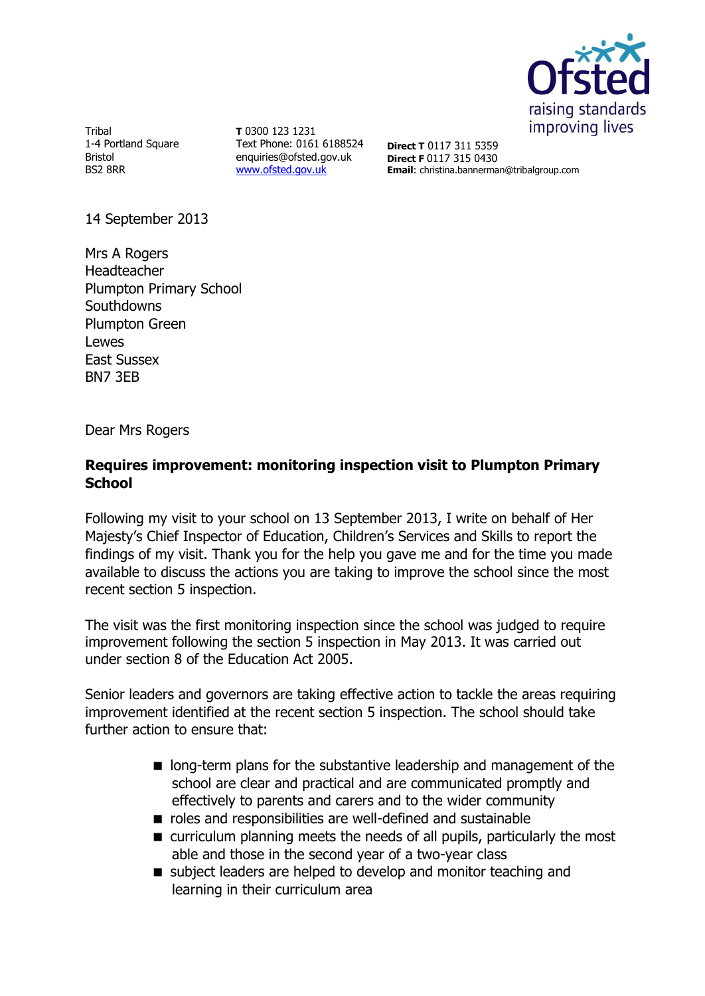

Tribal 1-4 Portland Square Bristol BS2 8RR

**T** 0300 123 1231 Text Phone: 0161 6188524 enquiries@ofsted.gov.uk [www.ofsted.gov.uk](http://www.ofsted.gov.uk/)

**Direct T** 0117 311 5359 **Direct F** 0117 315 0430 **Email**: christina.bannerman@tribalgroup.com

14 September 2013

Mrs A Rogers Headteacher Plumpton Primary School **Southdowns** Plumpton Green Lewes East Sussex BN7 3EB

Dear Mrs Rogers

# **Requires improvement: monitoring inspection visit to Plumpton Primary School**

Following my visit to your school on 13 September 2013, I write on behalf of Her Majesty's Chief Inspector of Education, Children's Services and Skills to report the findings of my visit. Thank you for the help you gave me and for the time you made available to discuss the actions you are taking to improve the school since the most recent section 5 inspection.

The visit was the first monitoring inspection since the school was judged to require improvement following the section 5 inspection in May 2013. It was carried out under section 8 of the Education Act 2005.

Senior leaders and governors are taking effective action to tackle the areas requiring improvement identified at the recent section 5 inspection. The school should take further action to ensure that:

- **n** long-term plans for the substantive leadership and management of the school are clear and practical and are communicated promptly and effectively to parents and carers and to the wider community
- roles and responsibilities are well-defined and sustainable
- curriculum planning meets the needs of all pupils, particularly the most able and those in the second year of a two-year class
- subject leaders are helped to develop and monitor teaching and learning in their curriculum area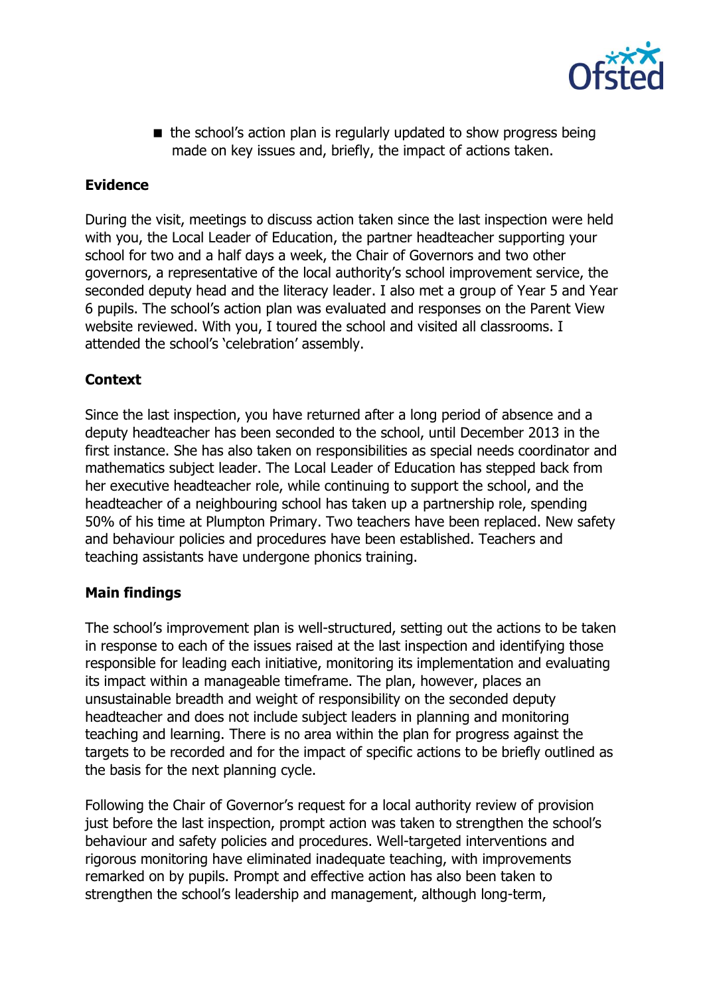

 $\blacksquare$  the school's action plan is regularly updated to show progress being made on key issues and, briefly, the impact of actions taken.

# **Evidence**

During the visit, meetings to discuss action taken since the last inspection were held with you, the Local Leader of Education, the partner headteacher supporting your school for two and a half days a week, the Chair of Governors and two other governors, a representative of the local authority's school improvement service, the seconded deputy head and the literacy leader. I also met a group of Year 5 and Year 6 pupils. The school's action plan was evaluated and responses on the Parent View website reviewed. With you, I toured the school and visited all classrooms. I attended the school's 'celebration' assembly.

# **Context**

Since the last inspection, you have returned after a long period of absence and a deputy headteacher has been seconded to the school, until December 2013 in the first instance. She has also taken on responsibilities as special needs coordinator and mathematics subject leader. The Local Leader of Education has stepped back from her executive headteacher role, while continuing to support the school, and the headteacher of a neighbouring school has taken up a partnership role, spending 50% of his time at Plumpton Primary. Two teachers have been replaced. New safety and behaviour policies and procedures have been established. Teachers and teaching assistants have undergone phonics training.

## **Main findings**

The school's improvement plan is well-structured, setting out the actions to be taken in response to each of the issues raised at the last inspection and identifying those responsible for leading each initiative, monitoring its implementation and evaluating its impact within a manageable timeframe. The plan, however, places an unsustainable breadth and weight of responsibility on the seconded deputy headteacher and does not include subject leaders in planning and monitoring teaching and learning. There is no area within the plan for progress against the targets to be recorded and for the impact of specific actions to be briefly outlined as the basis for the next planning cycle.

Following the Chair of Governor's request for a local authority review of provision just before the last inspection, prompt action was taken to strengthen the school's behaviour and safety policies and procedures. Well-targeted interventions and rigorous monitoring have eliminated inadequate teaching, with improvements remarked on by pupils. Prompt and effective action has also been taken to strengthen the school's leadership and management, although long-term,